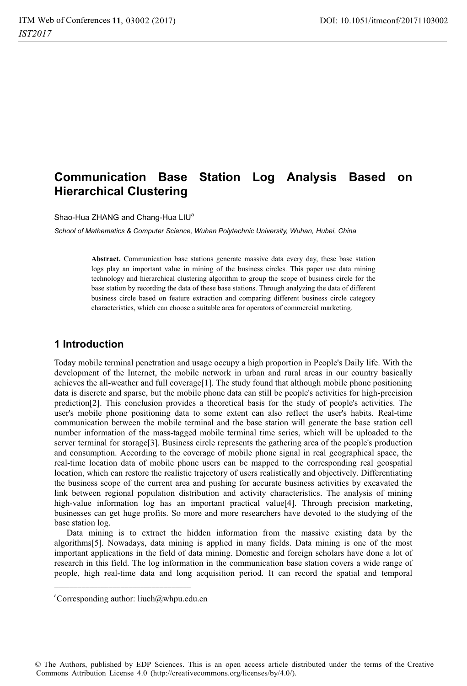# **Communication Base Station Log Analysis Based on Hierarchical Clustering**

Shao-Hua ZHANG and Chang-Hua LIU<sup>a</sup>

*School of Mathematics & Computer Science, Wuhan Polytechnic University, Wuhan, Hubei, China* 

**Abstract.** Communication base stations generate massive data every day, these base station logs play an important value in mining of the business circles. This paper use data mining technology and hierarchical clustering algorithm to group the scope of business circle for the base station by recording the data of these base stations. Through analyzing the data of different business circle based on feature extraction and comparing different business circle category characteristics, which can choose a suitable area for operators of commercial marketing.

### **1 Introduction**

Today mobile terminal penetration and usage occupy a high proportion in People's Daily life. With the development of the Internet, the mobile network in urban and rural areas in our country basically achieves the all-weather and full coverage[1]. The study found that although mobile phone positioning data is discrete and sparse, but the mobile phone data can still be people's activities for high-precision prediction[2]. This conclusion provides a theoretical basis for the study of people's activities. The user's mobile phone positioning data to some extent can also reflect the user's habits. Real-time communication between the mobile terminal and the base station will generate the base station cell number information of the mass-tagged mobile terminal time series, which will be uploaded to the server terminal for storage[3]. Business circle represents the gathering area of the people's production and consumption. According to the coverage of mobile phone signal in real geographical space, the real-time location data of mobile phone users can be mapped to the corresponding real geospatial location, which can restore the realistic trajectory of users realistically and objectively. Differentiating the business scope of the current area and pushing for accurate business activities by excavated the link between regional population distribution and activity characteristics. The analysis of mining high-value information log has an important practical value[4]. Through precision marketing, businesses can get huge profits. So more and more researchers have devoted to the studying of the base station log.

Data mining is to extract the hidden information from the massive existing data by the algorithms[5]. Nowadays, data mining is applied in many fields. Data mining is one of the most important applications in the field of data mining. Domestic and foreign scholars have done a lot of research in this field. The log information in the communication base station covers a wide range of people, high real-time data and long acquisition period. It can record the spatial and temporal

© The Authors, published by EDP Sciences. This is an open access article distributed under the terms of the Creative Commons Attribution License 4.0 (http://creativecommons.org/licenses/by/4.0/).

a Corresponding author: liuch@whpu.edu.cn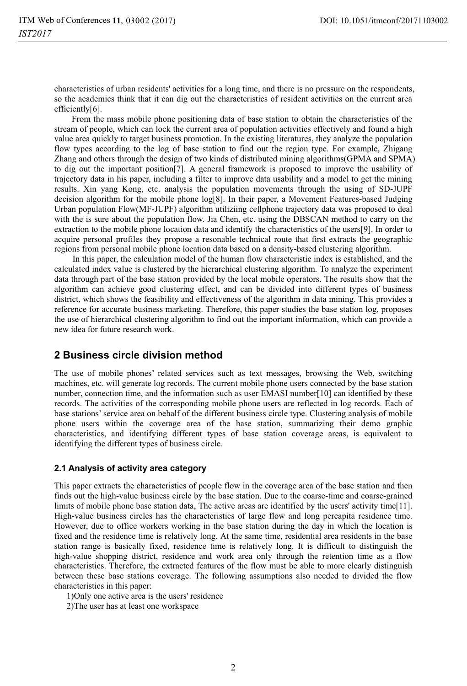characteristics of urban residents' activities for a long time, and there is no pressure on the respondents, so the academics think that it can dig out the characteristics of resident activities on the current area efficiently[6].

From the mass mobile phone positioning data of base station to obtain the characteristics of the stream of people, which can lock the current area of population activities effectively and found a high value area quickly to target business promotion. In the existing literatures, they analyze the population flow types according to the log of base station to find out the region type. For example, Zhigang Zhang and others through the design of two kinds of distributed mining algorithms(GPMA and SPMA) to dig out the important position[7]. A general framework is proposed to improve the usability of trajectory data in his paper, including a filter to improve data usability and a model to get the mining results. Xin yang Kong, etc. analysis the population movements through the using of SD-JUPF decision algorithm for the mobile phone log[8]. In their paper, a Movement Features-based Judging Urban population Flow(MF-JUPF) algorithm utiliziing cellphone trajectory data was proposed to deal with the is sure about the population flow. Jia Chen, etc. using the DBSCAN method to carry on the extraction to the mobile phone location data and identify the characteristics of the users[9]. In order to acquire personal profiles they propose a resonable technical route that first extracts the geographic regions from personal mobile phone location data based on a density-based clustering algorithm.

 In this paper, the calculation model of the human flow characteristic index is established, and the calculated index value is clustered by the hierarchical clustering algorithm. To analyze the experiment data through part of the base station provided by the local mobile operators. The results show that the algorithm can achieve good clustering effect, and can be divided into different types of business district, which shows the feasibility and effectiveness of the algorithm in data mining. This provides a reference for accurate business marketing. Therefore, this paper studies the base station log, proposes the use of hierarchical clustering algorithm to find out the important information, which can provide a new idea for future research work.

### **2 Business circle division method**

The use of mobile phones' related services such as text messages, browsing the Web, switching machines, etc. will generate log records. The current mobile phone users connected by the base station number, connection time, and the information such as user EMASI number [10] can identified by these records. The activities of the corresponding mobile phone users are reflected in log records. Each of base stations' service area on behalf of the different business circle type. Clustering analysis of mobile phone users within the coverage area of the base station, summarizing their demo graphic characteristics, and identifying different types of base station coverage areas, is equivalent to identifying the different types of business circle.

### **2.1 Analysis of activity area category**

This paper extracts the characteristics of people flow in the coverage area of the base station and then finds out the high-value business circle by the base station. Due to the coarse-time and coarse-grained limits of mobile phone base station data, The active areas are identified by the users' activity time[11]. High-value business circles has the characteristics of large flow and long percapita residence time. However, due to office workers working in the base station during the day in which the location is fixed and the residence time is relatively long. At the same time, residential area residents in the base station range is basically fixed, residence time is relatively long. It is difficult to distinguish the high-value shopping district, residence and work area only through the retention time as a flow characteristics. Therefore, the extracted features of the flow must be able to more clearly distinguish between these base stations coverage. The following assumptions also needed to divided the flow characteristics in this paper:

1)Only one active area is the users' residence

2)The user has at least one workspace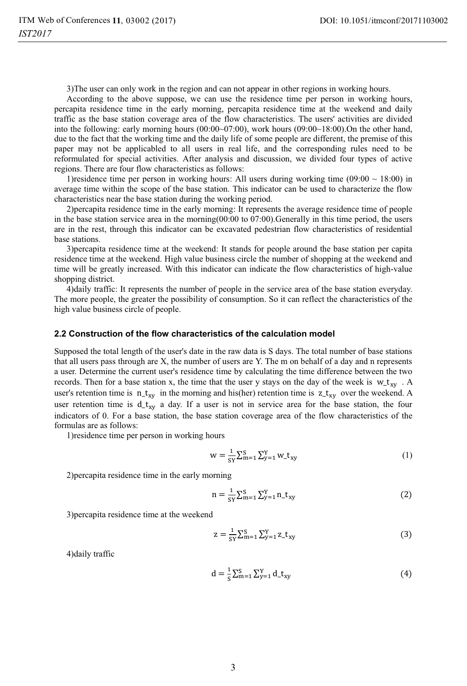3)The user can only work in the region and can not appear in other regions in working hours.

According to the above suppose, we can use the residence time per person in working hours, percapita residence time in the early morning, percapita residence time at the weekend and daily traffic as the base station coverage area of the flow characteristics. The users' activities are divided into the following: early morning hours (00:00~07:00), work hours (09:00~18:00).On the other hand, due to the fact that the working time and the daily life of some people are different, the premise of this paper may not be applicabled to all users in real life, and the corresponding rules need to be reformulated for special activities. After analysis and discussion, we divided four types of active regions. There are four flow characteristics as follows:

1) residence time per person in working hours: All users during working time  $(09:00 \sim 18:00)$  in average time within the scope of the base station. This indicator can be used to characterize the flow characteristics near the base station during the working period.

2)percapita residence time in the early morning: It represents the average residence time of people in the base station service area in the morning(00:00 to 07:00).Generally in this time period, the users are in the rest, through this indicator can be excavated pedestrian flow characteristics of residential base stations.

3)percapita residence time at the weekend: It stands for people around the base station per capita residence time at the weekend. High value business circle the number of shopping at the weekend and time will be greatly increased. With this indicator can indicate the flow characteristics of high-value shopping district.

4)daily traffic: It represents the number of people in the service area of the base station everyday. The more people, the greater the possibility of consumption. So it can reflect the characteristics of the high value business circle of people.

#### **2.2 Construction of the flow characteristics of the calculation model**

Supposed the total length of the user's date in the raw data is S days. The total number of base stations that all users pass through are X, the number of users are Y. The m on behalf of a day and n represents a user. Determine the current user's residence time by calculating the time difference between the two records. Then for a base station x, the time that the user y stays on the day of the week is  $w_t x_w$ . A user's retention time is  $n_t x_y$  in the morning and his(her) retention time is  $z_t x_y$  over the weekend. A user retention time is  $d_t x_y$  a day. If a user is not in service area for the base station, the four indicators of 0. For a base station, the base station coverage area of the flow characteristics of the formulas are as follows:

1)residence time per person in working hours

$$
w = \frac{1}{sy} \sum_{m=1}^{s} \sum_{y=1}^{Y} w_{-}t_{xy}
$$
 (1)

2)percapita residence time in the early morning

$$
n = \frac{1}{sy} \sum_{m=1}^{y} \sum_{y=1}^{Y} n_{-}t_{xy}
$$
 (2)

3)percapita residence time at the weekend

$$
z = \frac{1}{sy} \sum_{m=1}^{S} \sum_{y=1}^{Y} z_{xy}
$$
 (3)

4)daily traffic

$$
d = \frac{1}{s} \sum_{m=1}^{s} \sum_{y=1}^{Y} d_{-}t_{xy}
$$
 (4)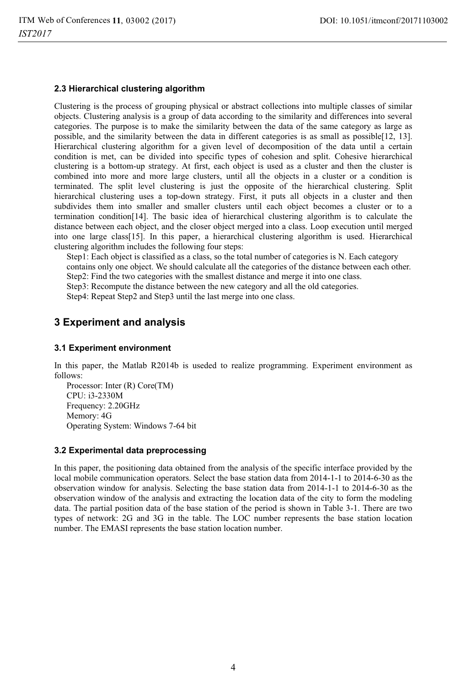### **2.3 Hierarchical clustering algorithm**

Clustering is the process of grouping physical or abstract collections into multiple classes of similar objects. Clustering analysis is a group of data according to the similarity and differences into several categories. The purpose is to make the similarity between the data of the same category as large as possible, and the similarity between the data in different categories is as small as possible[12, 13]. Hierarchical clustering algorithm for a given level of decomposition of the data until a certain condition is met, can be divided into specific types of cohesion and split. Cohesive hierarchical clustering is a bottom-up strategy. At first, each object is used as a cluster and then the cluster is combined into more and more large clusters, until all the objects in a cluster or a condition is terminated. The split level clustering is just the opposite of the hierarchical clustering. Split hierarchical clustering uses a top-down strategy. First, it puts all objects in a cluster and then subdivides them into smaller and smaller clusters until each object becomes a cluster or to a termination condition[14]. The basic idea of hierarchical clustering algorithm is to calculate the distance between each object, and the closer object merged into a class. Loop execution until merged into one large class[15]. In this paper, a hierarchical clustering algorithm is used. Hierarchical clustering algorithm includes the following four steps:

Step1: Each object is classified as a class, so the total number of categories is N. Each category contains only one object. We should calculate all the categories of the distance between each other.

Step2: Find the two categories with the smallest distance and merge it into one class.

Step3: Recompute the distance between the new category and all the old categories.

Step4: Repeat Step2 and Step3 until the last merge into one class.

# **3 Experiment and analysis**

#### **3.1 Experiment environment**

In this paper, the Matlab R2014b is useded to realize programming. Experiment environment as follows:

Processor: Inter (R) Core(TM) CPU: i3-2330M Frequency: 2.20GHz Memory: 4G Operating System: Windows 7-64 bit

#### **3.2 Experimental data preprocessing**

In this paper, the positioning data obtained from the analysis of the specific interface provided by the local mobile communication operators. Select the base station data from 2014-1-1 to 2014-6-30 as the observation window for analysis. Selecting the base station data from 2014-1-1 to 2014-6-30 as the observation window of the analysis and extracting the location data of the city to form the modeling data. The partial position data of the base station of the period is shown in Table 3-1. There are two types of network: 2G and 3G in the table. The LOC number represents the base station location number. The EMASI represents the base station location number.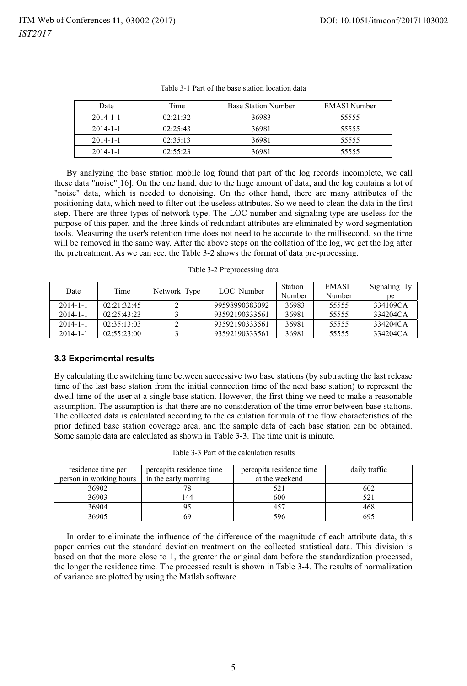| Date           | Time     | <b>Base Station Number</b> | EMASI Number |
|----------------|----------|----------------------------|--------------|
| $2014 - 1 - 1$ | 02.21.32 | 36983                      | 55555        |
| $2014 - 1 - 1$ | 02:25:43 | 36981                      | 55555        |
| $2014 - 1 - 1$ | 02:35:13 | 36981                      | 55555        |
| $2014 - 1 - 1$ | 02:55:23 | 36981                      | 55555        |

Table 3-1 Part of the base station location data

By analyzing the base station mobile log found that part of the log records incomplete, we call these data "noise"[16]. On the one hand, due to the huge amount of data, and the log contains a lot of "noise" data, which is needed to denoising. On the other hand, there are many attributes of the positioning data, which need to filter out the useless attributes. So we need to clean the data in the first step. There are three types of network type. The LOC number and signaling type are useless for the purpose of this paper, and the three kinds of redundant attributes are eliminated by word segmentation tools. Measuring the user's retention time does not need to be accurate to the millisecond, so the time will be removed in the same way. After the above steps on the collation of the log, we get the log after the pretreatment. As we can see, the Table 3-2 shows the format of data pre-processing.

Table 3-2 Preprocessing data

| Date           | Time        | Network Type | LOC Number     | Station | <b>EMASI</b> | Signaling Ty |
|----------------|-------------|--------------|----------------|---------|--------------|--------------|
|                |             |              |                | Number  | Number       | рe           |
| $2014 - 1 - 1$ | 02:21:32:45 |              | 99598990383092 | 36983   | 55555        | 334109CA     |
| $2014 - 1 - 1$ | 02.25.43.23 |              | 93592190333561 | 36981   | 55555        | 334204CA     |
| $2014 - 1 - 1$ | 02:35:13:03 |              | 93592190333561 | 36981   | 55555        | 334204CA     |
| $2014 - 1 - 1$ | 02:55:23:00 |              | 93592190333561 | 36981   | 55555        | 334204CA     |

#### **3.3 Experimental results**

By calculating the switching time between successive two base stations (by subtracting the last release time of the last base station from the initial connection time of the next base station) to represent the dwell time of the user at a single base station. However, the first thing we need to make a reasonable assumption. The assumption is that there are no consideration of the time error between base stations. The collected data is calculated according to the calculation formula of the flow characteristics of the prior defined base station coverage area, and the sample data of each base station can be obtained. Some sample data are calculated as shown in Table 3-3. The time unit is minute.

| residence time per<br>person in working hours | percapita residence time<br>in the early morning | percapita residence time<br>at the weekend | daily traffic |
|-----------------------------------------------|--------------------------------------------------|--------------------------------------------|---------------|
| 36902                                         |                                                  |                                            | 602           |
| 36903                                         | 44                                               | 600                                        |               |
| 36904                                         |                                                  | $45^{\circ}$                               | 468           |
| 36905                                         |                                                  | 596                                        |               |

In order to eliminate the influence of the difference of the magnitude of each attribute data, this paper carries out the standard deviation treatment on the collected statistical data. This division is based on that the more close to 1, the greater the original data before the standardization processed, the longer the residence time. The processed result is shown in Table 3-4. The results of normalization of variance are plotted by using the Matlab software.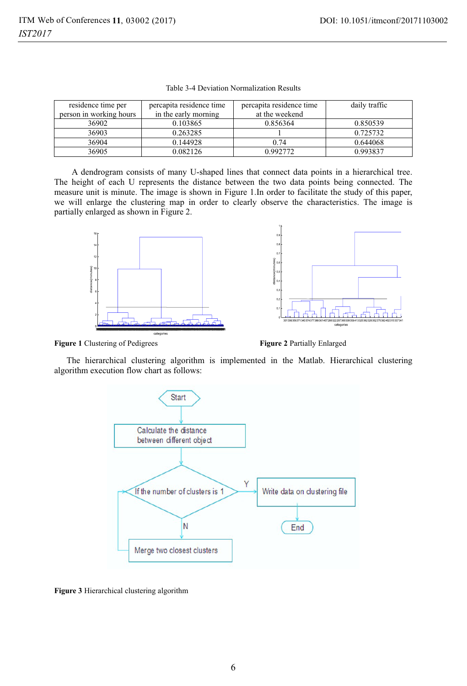| residence time per      | percapita residence time | percapita residence time | daily traffic |
|-------------------------|--------------------------|--------------------------|---------------|
| person in working hours | in the early morning     | at the weekend           |               |
| 36902                   | 0.103865                 | 0.856364                 | 0.850539      |
| 36903                   | 0.263285                 |                          | 0.725732      |
| 36904                   | 0.144928                 | 0.74                     | 0.644068      |
| 36905                   | 0.082126                 | 0.992772                 | 0.993837      |

Table 3-4 Deviation Normalization Results

A dendrogram consists of many U-shaped lines that connect data points in a hierarchical tree. The height of each U represents the distance between the two data points being connected. The measure unit is minute. The image is shown in Figure 1.In order to facilitate the study of this paper, we will enlarge the clustering map in order to clearly observe the characteristics. The image is partially enlarged as shown in Figure 2.





**Figure 1** Clustering of Pedigrees

**Figure 2** Partially Enlarged

The hierarchical clustering algorithm is implemented in the Matlab. Hierarchical clustering algorithm execution flow chart as follows:



**Figure 3** Hierarchical clustering algorithm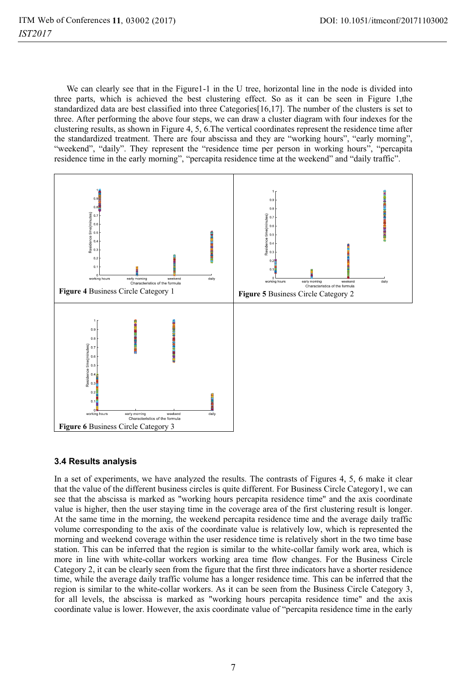We can clearly see that in the Figure1-1 in the U tree, horizontal line in the node is divided into three parts, which is achieved the best clustering effect. So as it can be seen in Figure 1,the standardized data are best classified into three Categories[16,17]. The number of the clusters is set to three. After performing the above four steps, we can draw a cluster diagram with four indexes for the clustering results, as shown in Figure 4, 5, 6.The vertical coordinates represent the residence time after the standardized treatment. There are four abscissa and they are "working hours", "early morning", "weekend", "daily". They represent the "residence time per person in working hours", "percapita residence time in the early morning", "percapita residence time at the weekend" and "daily traffic".



### **3.4 Results analysis**

In a set of experiments, we have analyzed the results. The contrasts of Figures 4, 5, 6 make it clear that the value of the different business circles is quite different. For Business Circle Category1, we can see that the abscissa is marked as "working hours percapita residence time" and the axis coordinate value is higher, then the user staying time in the coverage area of the first clustering result is longer. At the same time in the morning, the weekend percapita residence time and the average daily traffic volume corresponding to the axis of the coordinate value is relatively low, which is represented the morning and weekend coverage within the user residence time is relatively short in the two time base station. This can be inferred that the region is similar to the white-collar family work area, which is more in line with white-collar workers working area time flow changes. For the Business Circle Category 2, it can be clearly seen from the figure that the first three indicators have a shorter residence time, while the average daily traffic volume has a longer residence time. This can be inferred that the region is similar to the white-collar workers. As it can be seen from the Business Circle Category 3, for all levels, the abscissa is marked as "working hours percapita residence time" and the axis coordinate value is lower. However, the axis coordinate value of "percapita residence time in the early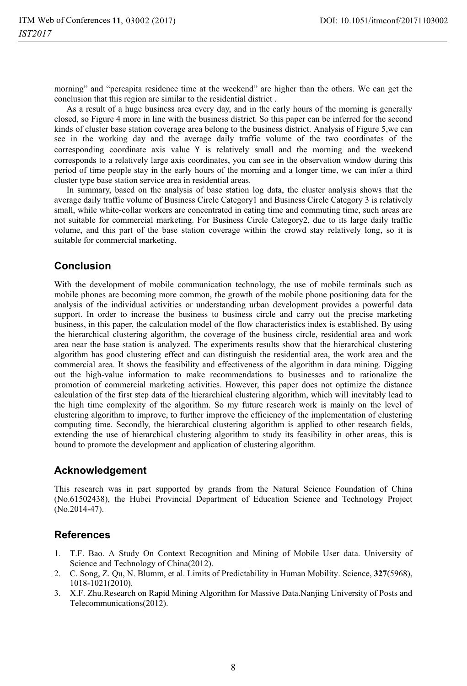morning" and "percapita residence time at the weekend" are higher than the others. We can get the conclusion that this region are similar to the residential district .

As a result of a huge business area every day, and in the early hours of the morning is generally closed, so Figure 4 more in line with the business district. So this paper can be inferred for the second kinds of cluster base station coverage area belong to the business district. Analysis of Figure 5,we can see in the working day and the average daily traffic volume of the two coordinates of the corresponding coordinate axis value Y is relatively small and the morning and the weekend corresponds to a relatively large axis coordinates, you can see in the observation window during this period of time people stay in the early hours of the morning and a longer time, we can infer a third cluster type base station service area in residential areas.

In summary, based on the analysis of base station log data, the cluster analysis shows that the average daily traffic volume of Business Circle Category1 and Business Circle Category 3 is relatively small, while white-collar workers are concentrated in eating time and commuting time, such areas are not suitable for commercial marketing. For Business Circle Category2, due to its large daily traffic volume, and this part of the base station coverage within the crowd stay relatively long, so it is suitable for commercial marketing.

# **Conclusion**

With the development of mobile communication technology, the use of mobile terminals such as mobile phones are becoming more common, the growth of the mobile phone positioning data for the analysis of the individual activities or understanding urban development provides a powerful data support. In order to increase the business to business circle and carry out the precise marketing business, in this paper, the calculation model of the flow characteristics index is established. By using the hierarchical clustering algorithm, the coverage of the business circle, residential area and work area near the base station is analyzed. The experiments results show that the hierarchical clustering algorithm has good clustering effect and can distinguish the residential area, the work area and the commercial area. It shows the feasibility and effectiveness of the algorithm in data mining. Digging out the high-value information to make recommendations to businesses and to rationalize the promotion of commercial marketing activities. However, this paper does not optimize the distance calculation of the first step data of the hierarchical clustering algorithm, which will inevitably lead to the high time complexity of the algorithm. So my future research work is mainly on the level of clustering algorithm to improve, to further improve the efficiency of the implementation of clustering computing time. Secondly, the hierarchical clustering algorithm is applied to other research fields, extending the use of hierarchical clustering algorithm to study its feasibility in other areas, this is bound to promote the development and application of clustering algorithm.

# **Acknowledgement**

This research was in part supported by grands from the Natural Science Foundation of China (No.61502438), the Hubei Provincial Department of Education Science and Technology Project (No.2014-47).

# **References**

- 1. T.F. Bao. A Study On Context Recognition and Mining of Mobile User data. University of Science and Technology of China(2012).
- 2. C. Song, Z. Qu, N. Blumm, et al. Limits of Predictability in Human Mobility. Science, **327**(5968), 1018-1021(2010).
- 3. X.F. Zhu.Research on Rapid Mining Algorithm for Massive Data.Nanjing University of Posts and Telecommunications(2012).